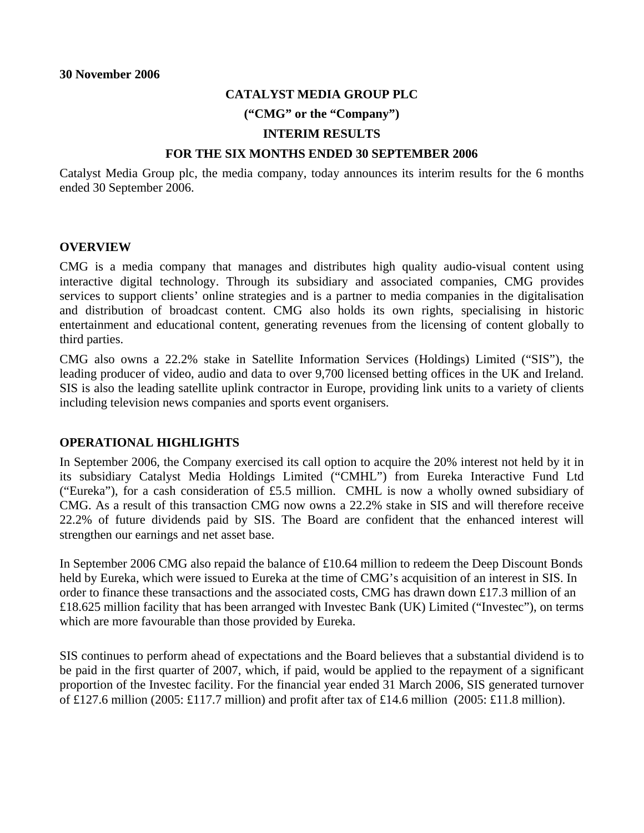## **CATALYST MEDIA GROUP PLC**

**("CMG" or the "Company")** 

### **INTERIM RESULTS**

### **FOR THE SIX MONTHS ENDED 30 SEPTEMBER 2006**

Catalyst Media Group plc, the media company, today announces its interim results for the 6 months ended 30 September 2006.

#### **OVERVIEW**

CMG is a media company that manages and distributes high quality audio-visual content using interactive digital technology. Through its subsidiary and associated companies, CMG provides services to support clients' online strategies and is a partner to media companies in the digitalisation and distribution of broadcast content. CMG also holds its own rights, specialising in historic entertainment and educational content, generating revenues from the licensing of content globally to third parties.

CMG also owns a 22.2% stake in Satellite Information Services (Holdings) Limited ("SIS"), the leading producer of video, audio and data to over 9,700 licensed betting offices in the UK and Ireland. SIS is also the leading satellite uplink contractor in Europe, providing link units to a variety of clients including television news companies and sports event organisers.

### **OPERATIONAL HIGHLIGHTS**

In September 2006, the Company exercised its call option to acquire the 20% interest not held by it in its subsidiary Catalyst Media Holdings Limited ("CMHL") from Eureka Interactive Fund Ltd ("Eureka"), for a cash consideration of £5.5 million. CMHL is now a wholly owned subsidiary of CMG. As a result of this transaction CMG now owns a 22.2% stake in SIS and will therefore receive 22.2% of future dividends paid by SIS. The Board are confident that the enhanced interest will strengthen our earnings and net asset base.

In September 2006 CMG also repaid the balance of £10.64 million to redeem the Deep Discount Bonds held by Eureka, which were issued to Eureka at the time of CMG's acquisition of an interest in SIS. In order to finance these transactions and the associated costs, CMG has drawn down £17.3 million of an £18.625 million facility that has been arranged with Investec Bank (UK) Limited ("Investec"), on terms which are more favourable than those provided by Eureka.

SIS continues to perform ahead of expectations and the Board believes that a substantial dividend is to be paid in the first quarter of 2007, which, if paid, would be applied to the repayment of a significant proportion of the Investec facility. For the financial year ended 31 March 2006, SIS generated turnover of £127.6 million (2005: £117.7 million) and profit after tax of £14.6 million (2005: £11.8 million).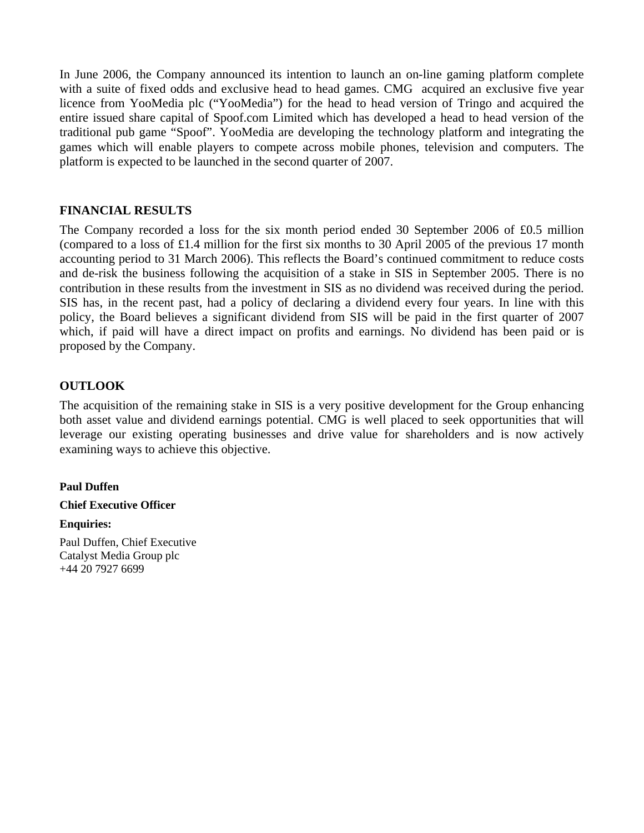In June 2006, the Company announced its intention to launch an on-line gaming platform complete with a suite of fixed odds and exclusive head to head games. CMG acquired an exclusive five year licence from YooMedia plc ("YooMedia") for the head to head version of Tringo and acquired the entire issued share capital of Spoof.com Limited which has developed a head to head version of the traditional pub game "Spoof". YooMedia are developing the technology platform and integrating the games which will enable players to compete across mobile phones, television and computers. The platform is expected to be launched in the second quarter of 2007.

# **FINANCIAL RESULTS**

The Company recorded a loss for the six month period ended 30 September 2006 of £0.5 million (compared to a loss of £1.4 million for the first six months to 30 April 2005 of the previous 17 month accounting period to 31 March 2006). This reflects the Board's continued commitment to reduce costs and de-risk the business following the acquisition of a stake in SIS in September 2005. There is no contribution in these results from the investment in SIS as no dividend was received during the period. SIS has, in the recent past, had a policy of declaring a dividend every four years. In line with this policy, the Board believes a significant dividend from SIS will be paid in the first quarter of 2007 which, if paid will have a direct impact on profits and earnings. No dividend has been paid or is proposed by the Company.

# **OUTLOOK**

The acquisition of the remaining stake in SIS is a very positive development for the Group enhancing both asset value and dividend earnings potential. CMG is well placed to seek opportunities that will leverage our existing operating businesses and drive value for shareholders and is now actively examining ways to achieve this objective.

## **Paul Duffen**

**Chief Executive Officer** 

### **Enquiries:**

Paul Duffen, Chief Executive Catalyst Media Group plc +44 20 7927 6699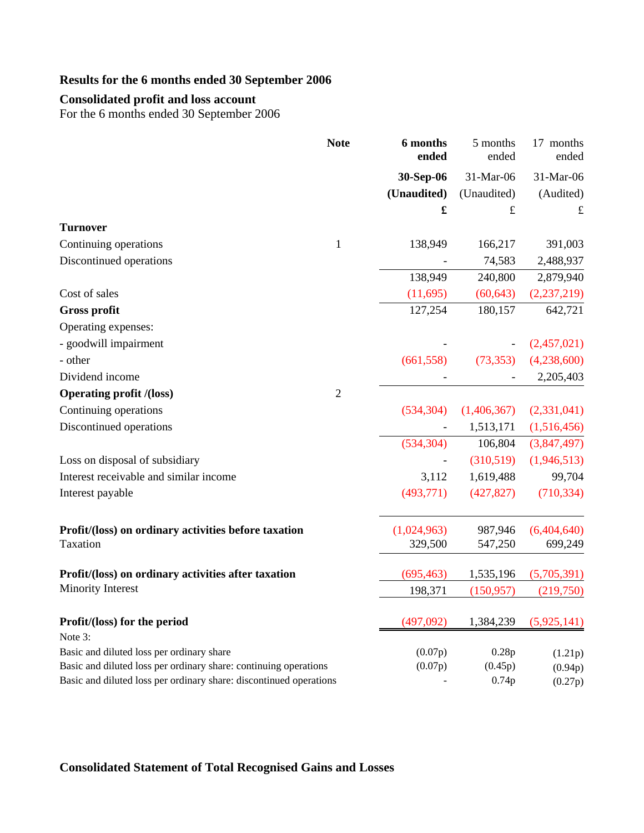# **Results for the 6 months ended 30 September 2006**

# **Consolidated profit and loss account**

For the 6 months ended 30 September 2006

|                                                                    | <b>Note</b>    | 6 months<br>ended | 5 months<br>ended | 17 months<br>ended |
|--------------------------------------------------------------------|----------------|-------------------|-------------------|--------------------|
|                                                                    |                | 30-Sep-06         | 31-Mar-06         | 31-Mar-06          |
|                                                                    |                | (Unaudited)       | (Unaudited)       | (Audited)          |
|                                                                    |                | $\mathbf f$       | £                 | $\mathbf f$        |
| <b>Turnover</b>                                                    |                |                   |                   |                    |
| Continuing operations                                              | $\mathbf{1}$   | 138,949           | 166,217           | 391,003            |
| Discontinued operations                                            |                |                   | 74,583            | 2,488,937          |
|                                                                    |                | 138,949           | 240,800           | 2,879,940          |
| Cost of sales                                                      |                | (11,695)          | (60, 643)         | (2, 237, 219)      |
| <b>Gross profit</b>                                                |                | 127,254           | 180,157           | 642,721            |
| Operating expenses:                                                |                |                   |                   |                    |
| - goodwill impairment                                              |                |                   |                   | (2,457,021)        |
| - other                                                            |                | (661, 558)        | (73, 353)         | (4,238,600)        |
| Dividend income                                                    |                |                   |                   | 2,205,403          |
| <b>Operating profit /(loss)</b>                                    | $\overline{2}$ |                   |                   |                    |
| Continuing operations                                              |                | (534, 304)        | (1,406,367)       | (2,331,041)        |
| Discontinued operations                                            |                |                   | 1,513,171         | (1,516,456)        |
|                                                                    |                | (534, 304)        | 106,804           | (3,847,497)        |
| Loss on disposal of subsidiary                                     |                |                   | (310,519)         | (1,946,513)        |
| Interest receivable and similar income                             |                | 3,112             | 1,619,488         | 99,704             |
| Interest payable                                                   |                | (493,771)         | (427, 827)        | (710, 334)         |
| Profit/(loss) on ordinary activities before taxation               |                | (1,024,963)       | 987,946           | (6,404,640)        |
| Taxation                                                           |                | 329,500           | 547,250           | 699,249            |
| Profit/(loss) on ordinary activities after taxation                |                | (695, 463)        | 1,535,196         | (5,705,391)        |
| <b>Minority Interest</b>                                           |                | 198,371           | (150, 957)        | (219,750)          |
| Profit/(loss) for the period<br>Note 3:                            |                | (497,092)         | 1,384,239         | (5,925,141)        |
| Basic and diluted loss per ordinary share                          |                | (0.07p)           | 0.28p             | (1.21p)            |
| Basic and diluted loss per ordinary share: continuing operations   |                | (0.07p)           | (0.45p)           | (0.94p)            |
| Basic and diluted loss per ordinary share: discontinued operations |                |                   | 0.74p             | (0.27p)            |

# **Consolidated Statement of Total Recognised Gains and Losses**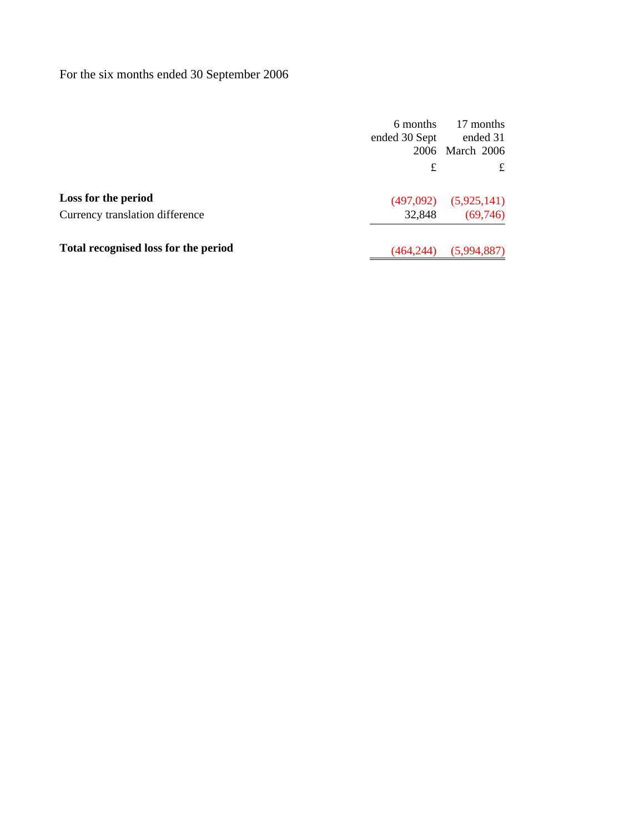For the six months ended 30 September 2006

|                                      | 6 months<br>ended 30 Sept | 17 months<br>ended 31<br>2006 March 2006 |
|--------------------------------------|---------------------------|------------------------------------------|
|                                      | £                         | £                                        |
| Loss for the period                  |                           | $(497,092)$ $(5,925,141)$                |
| Currency translation difference      | 32,848                    | (69,746)                                 |
| Total recognised loss for the period | (464.244)                 | (5,994,887)                              |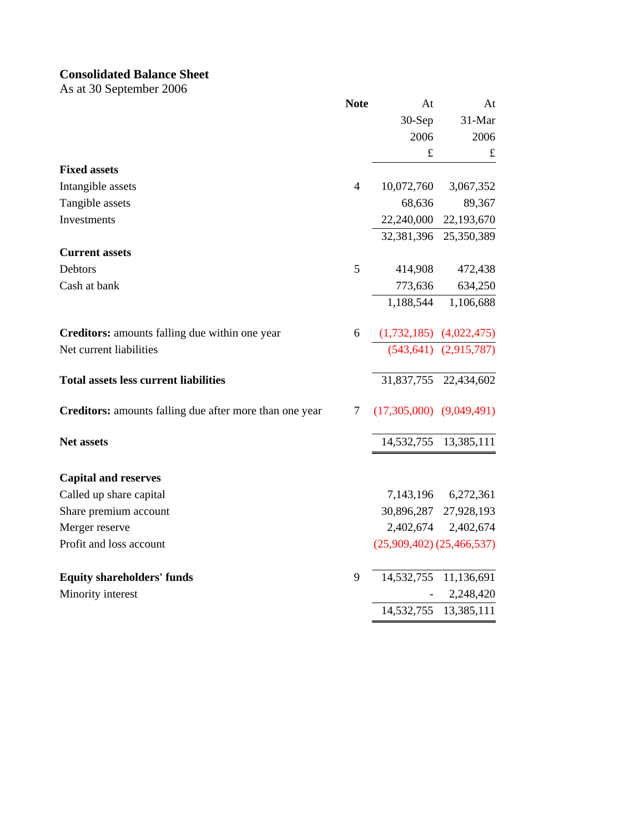# **Consolidated Balance Sheet**

As at 30 September 2006

|                                                         | <b>Note</b>    | At                            | At                           |
|---------------------------------------------------------|----------------|-------------------------------|------------------------------|
|                                                         |                | 30-Sep                        | 31-Mar                       |
|                                                         |                | 2006                          | 2006                         |
|                                                         |                | $\mathbf f$                   | $\pounds$                    |
| <b>Fixed assets</b>                                     |                |                               |                              |
| Intangible assets                                       | $\overline{4}$ | 10,072,760                    | 3,067,352                    |
| Tangible assets                                         |                | 68,636                        | 89,367                       |
| Investments                                             |                | 22,240,000                    | 22,193,670                   |
|                                                         |                | 32,381,396                    | 25,350,389                   |
| <b>Current assets</b>                                   |                |                               |                              |
| Debtors                                                 | 5              | 414,908                       | 472,438                      |
| Cash at bank                                            |                | 773,636                       | 634,250                      |
|                                                         |                | 1,188,544                     | 1,106,688                    |
|                                                         |                |                               |                              |
| Creditors: amounts falling due within one year          | 6              |                               | $(1,732,185)$ $(4,022,475)$  |
| Net current liabilities                                 |                |                               | $(543, 641)$ $(2, 915, 787)$ |
|                                                         |                |                               |                              |
| <b>Total assets less current liabilities</b>            |                |                               | 31,837,755 22,434,602        |
| Creditors: amounts falling due after more than one year | 7              | $(17,305,000)$ $(9,049,491)$  |                              |
|                                                         |                |                               |                              |
| Net assets                                              |                |                               | 14,532,755 13,385,111        |
|                                                         |                |                               |                              |
| <b>Capital and reserves</b>                             |                |                               |                              |
| Called up share capital                                 |                | 7,143,196                     | 6,272,361                    |
| Share premium account                                   |                | 30,896,287                    | 27,928,193                   |
| Merger reserve                                          |                |                               | 2,402,674 2,402,674          |
| Profit and loss account                                 |                | $(25,909,402)$ $(25,466,537)$ |                              |
|                                                         |                |                               |                              |
| <b>Equity shareholders' funds</b>                       | 9              |                               | 14,532,755 11,136,691        |
| Minority interest                                       |                |                               | 2,248,420                    |
|                                                         |                | 14,532,755                    | 13,385,111                   |
|                                                         |                |                               |                              |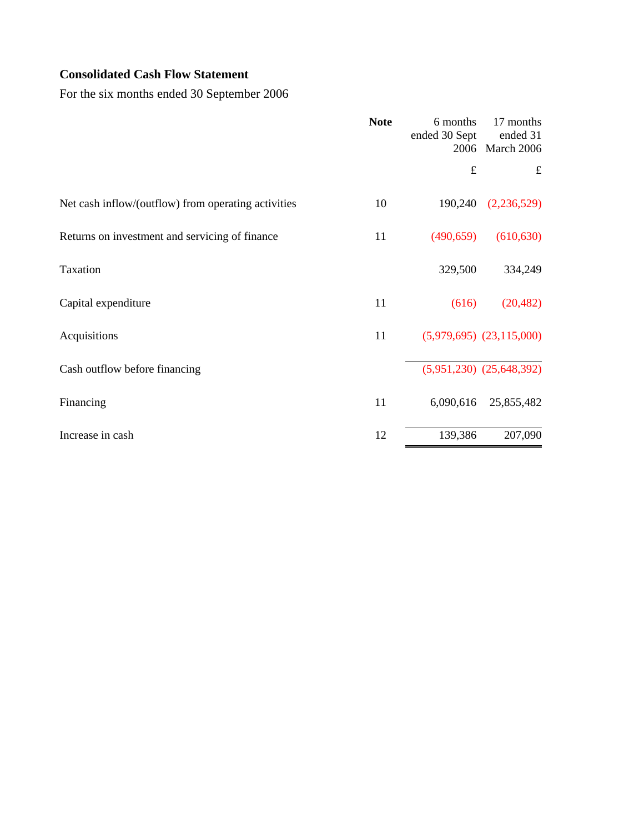# **Consolidated Cash Flow Statement**

For the six months ended 30 September 2006

|                                                     | <b>Note</b> | 6 months<br>ended 30 Sept | 17 months<br>ended 31<br>2006 March 2006 |
|-----------------------------------------------------|-------------|---------------------------|------------------------------------------|
|                                                     |             | $\pounds$                 | $\pounds$                                |
| Net cash inflow/(outflow) from operating activities | 10          | 190,240                   | (2, 236, 529)                            |
| Returns on investment and servicing of finance      | 11          | (490, 659)                | (610, 630)                               |
| Taxation                                            |             | 329,500                   | 334,249                                  |
| Capital expenditure                                 | 11          | (616)                     | (20, 482)                                |
| Acquisitions                                        | 11          |                           | $(5,979,695)$ $(23,115,000)$             |
| Cash outflow before financing                       |             |                           | $(5,951,230)$ $(25,648,392)$             |
| Financing                                           | 11          | 6,090,616                 | 25,855,482                               |
| Increase in cash                                    | 12          | 139,386                   | 207,090                                  |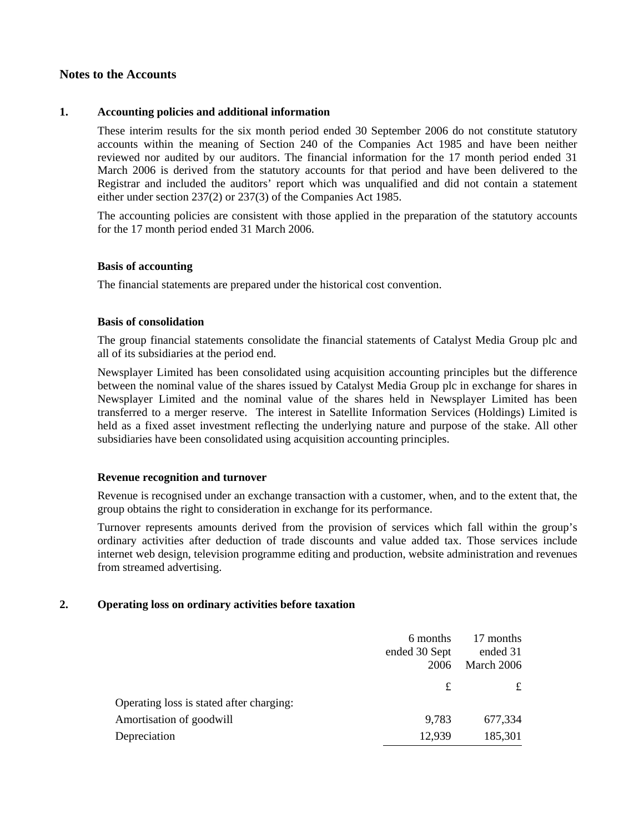## **Notes to the Accounts**

#### **1. Accounting policies and additional information**

These interim results for the six month period ended 30 September 2006 do not constitute statutory accounts within the meaning of Section 240 of the Companies Act 1985 and have been neither reviewed nor audited by our auditors. The financial information for the 17 month period ended 31 March 2006 is derived from the statutory accounts for that period and have been delivered to the Registrar and included the auditors' report which was unqualified and did not contain a statement either under section 237(2) or 237(3) of the Companies Act 1985.

The accounting policies are consistent with those applied in the preparation of the statutory accounts for the 17 month period ended 31 March 2006.

#### **Basis of accounting**

The financial statements are prepared under the historical cost convention.

#### **Basis of consolidation**

The group financial statements consolidate the financial statements of Catalyst Media Group plc and all of its subsidiaries at the period end.

Newsplayer Limited has been consolidated using acquisition accounting principles but the difference between the nominal value of the shares issued by Catalyst Media Group plc in exchange for shares in Newsplayer Limited and the nominal value of the shares held in Newsplayer Limited has been transferred to a merger reserve. The interest in Satellite Information Services (Holdings) Limited is held as a fixed asset investment reflecting the underlying nature and purpose of the stake. All other subsidiaries have been consolidated using acquisition accounting principles.

#### **Revenue recognition and turnover**

Revenue is recognised under an exchange transaction with a customer, when, and to the extent that, the group obtains the right to consideration in exchange for its performance.

Turnover represents amounts derived from the provision of services which fall within the group's ordinary activities after deduction of trade discounts and value added tax. Those services include internet web design, television programme editing and production, website administration and revenues from streamed advertising.

### **2. Operating loss on ordinary activities before taxation**

|                                          | 6 months      | 17 months  |
|------------------------------------------|---------------|------------|
|                                          | ended 30 Sept | ended 31   |
|                                          | 2006          | March 2006 |
|                                          | £             | £          |
| Operating loss is stated after charging: |               |            |
| Amortisation of goodwill                 | 9,783         | 677,334    |
| Depreciation                             | 12,939        | 185,301    |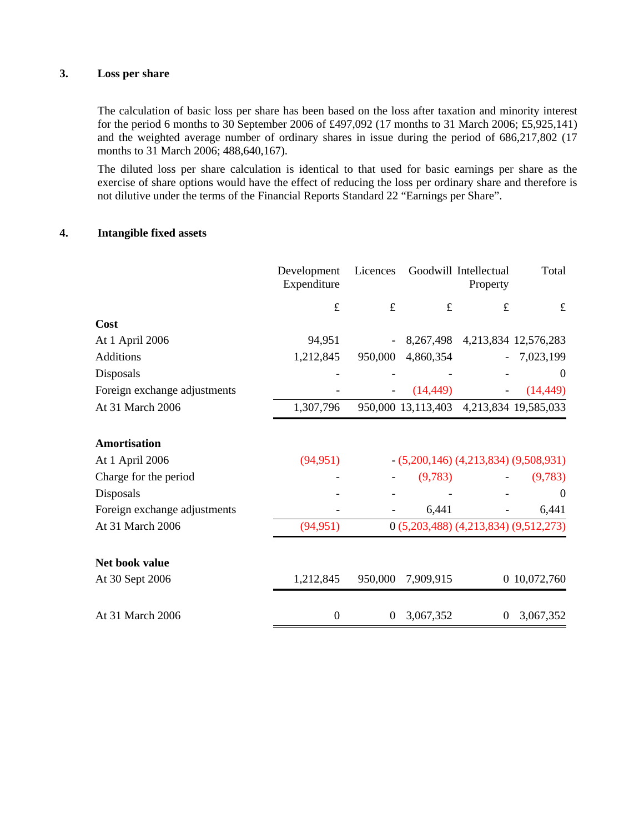### **3. Loss per share**

The calculation of basic loss per share has been based on the loss after taxation and minority interest for the period 6 months to 30 September 2006 of £497,092 (17 months to 31 March 2006; £5,925,141) and the weighted average number of ordinary shares in issue during the period of 686,217,802 (17 months to 31 March 2006; 488,640,167).

The diluted loss per share calculation is identical to that used for basic earnings per share as the exercise of share options would have the effect of reducing the loss per ordinary share and therefore is not dilutive under the terms of the Financial Reports Standard 22 "Earnings per Share".

## **4. Intangible fixed assets**

|                              | Development<br>Expenditure | Licences       |                    | Goodwill Intellectual<br>Property          | Total                |
|------------------------------|----------------------------|----------------|--------------------|--------------------------------------------|----------------------|
|                              | $\pounds$                  | f              | $\pounds$          | £                                          | £                    |
| Cost                         |                            |                |                    |                                            |                      |
| At 1 April 2006              | 94,951                     |                | 8,267,498          |                                            | 4,213,834 12,576,283 |
| <b>Additions</b>             | 1,212,845                  | 950,000        | 4,860,354          |                                            | 7,023,199            |
| Disposals                    |                            |                |                    |                                            | $\theta$             |
| Foreign exchange adjustments |                            |                | (14, 449)          |                                            | (14, 449)            |
| At 31 March 2006             | 1,307,796                  |                | 950,000 13,113,403 |                                            | 4,213,834 19,585,033 |
| <b>Amortisation</b>          |                            |                |                    |                                            |                      |
| At 1 April 2006              | (94, 951)                  |                |                    | $-(5,200,146)$ (4,213,834) (9,508,931)     |                      |
| Charge for the period        |                            |                | (9,783)            |                                            | (9,783)              |
| Disposals                    |                            |                |                    |                                            | $\Omega$             |
| Foreign exchange adjustments |                            |                | 6,441              |                                            | 6,441                |
| At 31 March 2006             | (94, 951)                  |                |                    | $0(5,203,488)$ $(4,213,834)$ $(9,512,273)$ |                      |
| Net book value               |                            |                |                    |                                            |                      |
| At 30 Sept 2006              | 1,212,845                  | 950,000        | 7,909,915          |                                            | 0 10,072,760         |
| At 31 March 2006             | $\boldsymbol{0}$           | $\overline{0}$ | 3,067,352          | $\theta$                                   | 3,067,352            |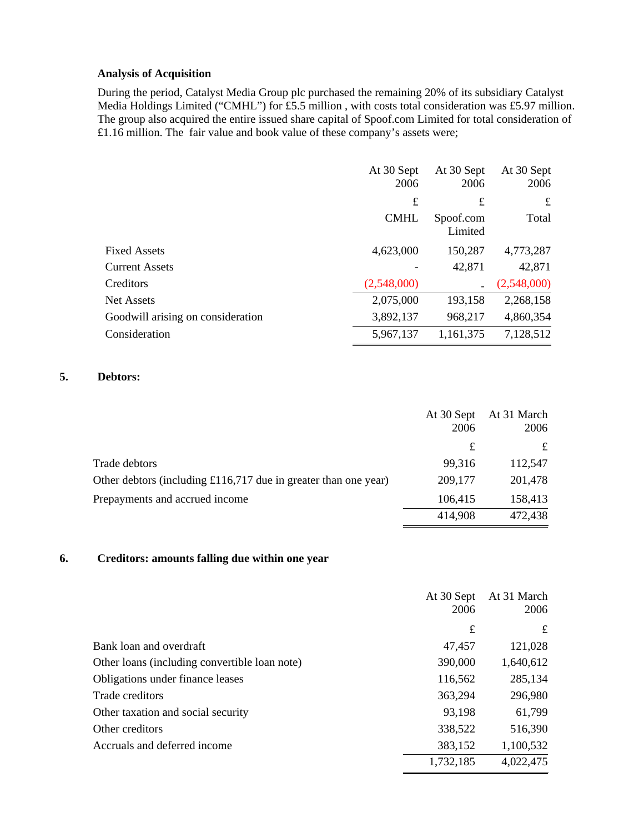### **Analysis of Acquisition**

During the period, Catalyst Media Group plc purchased the remaining 20% of its subsidiary Catalyst Media Holdings Limited ("CMHL") for £5.5 million, with costs total consideration was £5.97 million. The group also acquired the entire issued share capital of Spoof.com Limited for total consideration of £1.16 million. The fair value and book value of these company's assets were;

|                                   | At 30 Sept  | At 30 Sept           | At 30 Sept  |
|-----------------------------------|-------------|----------------------|-------------|
|                                   | 2006        | 2006                 | 2006        |
|                                   | £           | £                    | £           |
|                                   | <b>CMHL</b> | Spoof.com<br>Limited | Total       |
| <b>Fixed Assets</b>               | 4,623,000   | 150,287              | 4,773,287   |
| <b>Current Assets</b>             |             | 42,871               | 42,871      |
| Creditors                         | (2,548,000) |                      | (2,548,000) |
| <b>Net Assets</b>                 | 2,075,000   | 193,158              | 2,268,158   |
| Goodwill arising on consideration | 3,892,137   | 968,217              | 4,860,354   |
| Consideration                     | 5,967,137   | 1,161,375            | 7,128,512   |

## **5. Debtors:**

|                                                                   | At 30 Sept<br>2006 | At 31 March<br>2006 |
|-------------------------------------------------------------------|--------------------|---------------------|
|                                                                   | £                  | £                   |
| Trade debtors                                                     | 99,316             | 112,547             |
| Other debtors (including $£116,717$ due in greater than one year) | 209,177            | 201,478             |
| Prepayments and accrued income                                    | 106,415            | 158,413             |
|                                                                   | 414,908            | 472,438             |

## **6. Creditors: amounts falling due within one year**

|                                               | At 30 Sept<br>2006 | At 31 March<br>2006 |
|-----------------------------------------------|--------------------|---------------------|
|                                               | £                  | £                   |
| Bank loan and overdraft                       | 47,457             | 121,028             |
| Other loans (including convertible loan note) | 390,000            | 1,640,612           |
| Obligations under finance leases              | 116,562            | 285,134             |
| Trade creditors                               | 363,294            | 296,980             |
| Other taxation and social security            | 93,198             | 61,799              |
| Other creditors                               | 338,522            | 516,390             |
| Accruals and deferred income                  | 383,152            | 1,100,532           |
|                                               | 1,732,185          | 4,022,475           |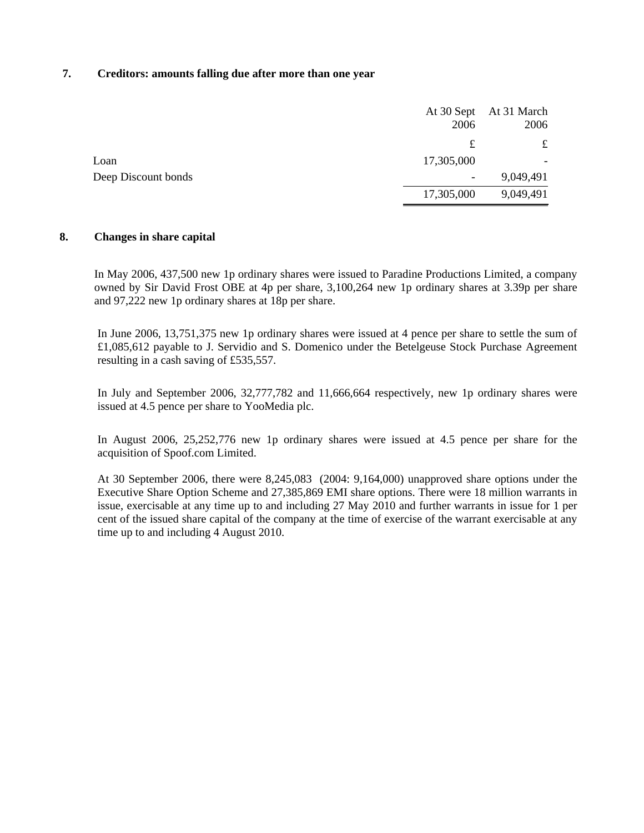#### **7. Creditors: amounts falling due after more than one year**

|                     | At 30 Sept<br>2006 | At 31 March<br>2006 |
|---------------------|--------------------|---------------------|
|                     | £                  | £                   |
| Loan                | 17,305,000         |                     |
| Deep Discount bonds |                    | 9,049,491           |
|                     | 17,305,000         | 9,049,491           |
|                     |                    |                     |

#### **8. Changes in share capital**

In May 2006, 437,500 new 1p ordinary shares were issued to Paradine Productions Limited, a company owned by Sir David Frost OBE at 4p per share, 3,100,264 new 1p ordinary shares at 3.39p per share and 97,222 new 1p ordinary shares at 18p per share.

In June 2006, 13,751,375 new 1p ordinary shares were issued at 4 pence per share to settle the sum of £1,085,612 payable to J. Servidio and S. Domenico under the Betelgeuse Stock Purchase Agreement resulting in a cash saving of £535,557.

In July and September 2006, 32,777,782 and 11,666,664 respectively, new 1p ordinary shares were issued at 4.5 pence per share to YooMedia plc.

In August 2006, 25,252,776 new 1p ordinary shares were issued at 4.5 pence per share for the acquisition of Spoof.com Limited.

At 30 September 2006, there were 8,245,083 (2004: 9,164,000) unapproved share options under the Executive Share Option Scheme and 27,385,869 EMI share options. There were 18 million warrants in issue, exercisable at any time up to and including 27 May 2010 and further warrants in issue for 1 per cent of the issued share capital of the company at the time of exercise of the warrant exercisable at any time up to and including 4 August 2010.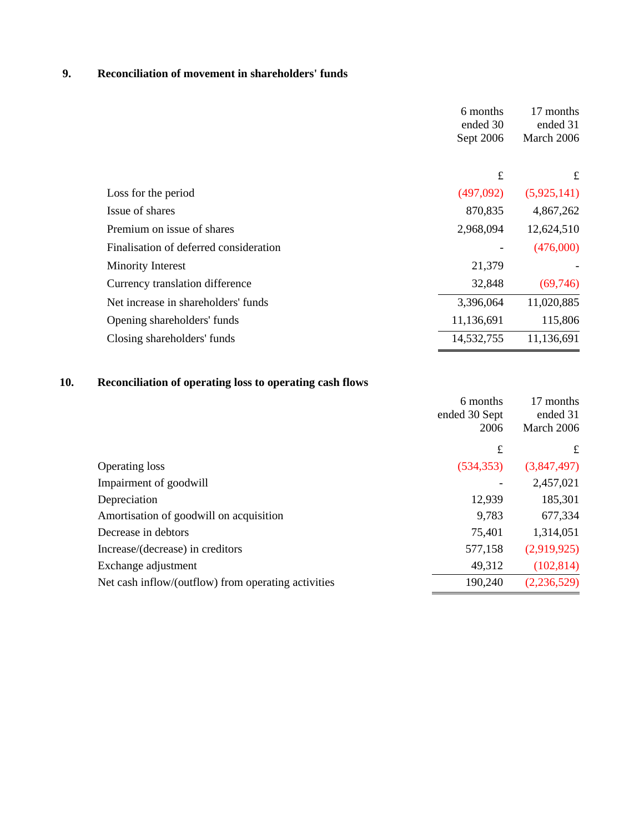# **9. Reconciliation of movement in shareholders' funds**

|                                        | 6 months<br>ended 30<br>Sept 2006 | 17 months<br>ended 31<br>March 2006 |
|----------------------------------------|-----------------------------------|-------------------------------------|
|                                        | £                                 | £                                   |
| Loss for the period                    | (497,092)                         | (5,925,141)                         |
| Issue of shares                        | 870,835                           | 4,867,262                           |
| Premium on issue of shares             | 2,968,094                         | 12,624,510                          |
| Finalisation of deferred consideration |                                   | (476,000)                           |
| Minority Interest                      | 21,379                            |                                     |
| Currency translation difference        | 32,848                            | (69,746)                            |
| Net increase in shareholders' funds    | 3,396,064                         | 11,020,885                          |
| Opening shareholders' funds            | 11,136,691                        | 115,806                             |
| Closing shareholders' funds            | 14,532,755                        | 11,136,691                          |

# **10. Reconciliation of operating loss to operating cash flows**

|                                                     | 6 months<br>ended 30 Sept    | 17 months<br>ended 31 |
|-----------------------------------------------------|------------------------------|-----------------------|
|                                                     | 2006                         | March 2006            |
|                                                     | £                            | £                     |
| <b>Operating loss</b>                               | (534, 353)                   | (3,847,497)           |
| Impairment of goodwill                              | $\qquad \qquad \blacksquare$ | 2,457,021             |
| Depreciation                                        | 12,939                       | 185,301               |
| Amortisation of goodwill on acquisition             | 9,783                        | 677,334               |
| Decrease in debtors                                 | 75,401                       | 1,314,051             |
| Increase/(decrease) in creditors                    | 577,158                      | (2,919,925)           |
| Exchange adjustment                                 | 49,312                       | (102, 814)            |
| Net cash inflow/(outflow) from operating activities | 190,240                      | (2, 236, 529)         |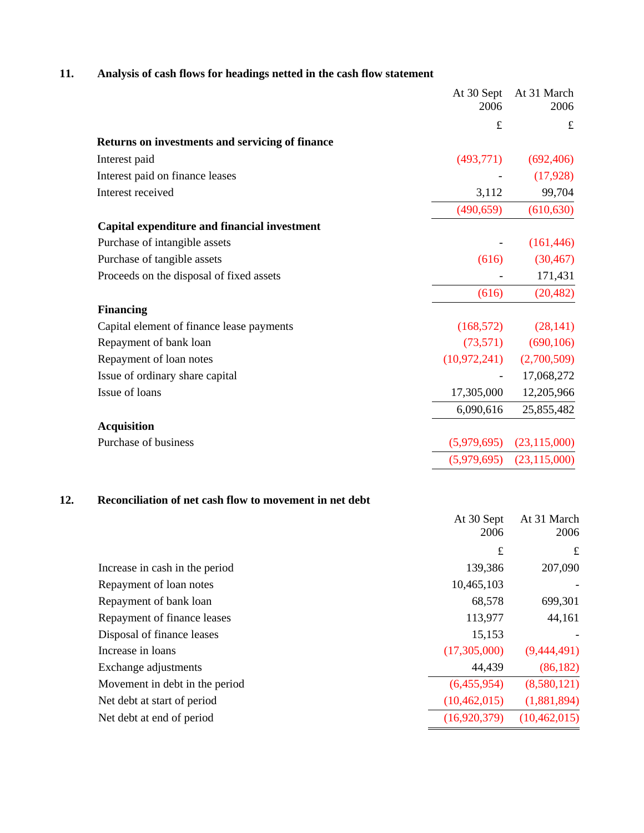# **11. Analysis of cash flows for headings netted in the cash flow statement**

|     |                                                         | At 30 Sept<br>2006 | At 31 March<br>2006 |
|-----|---------------------------------------------------------|--------------------|---------------------|
|     |                                                         | $\pounds$          | $\pounds$           |
|     | Returns on investments and servicing of finance         |                    |                     |
|     | Interest paid                                           | (493,771)          | (692, 406)          |
|     | Interest paid on finance leases                         |                    | (17, 928)           |
|     | Interest received                                       | 3,112              | 99,704              |
|     |                                                         | (490, 659)         | (610, 630)          |
|     | Capital expenditure and financial investment            |                    |                     |
|     | Purchase of intangible assets                           |                    | (161, 446)          |
|     | Purchase of tangible assets                             | (616)              | (30, 467)           |
|     | Proceeds on the disposal of fixed assets                |                    | 171,431             |
|     |                                                         | (616)              | (20, 482)           |
|     | <b>Financing</b>                                        |                    |                     |
|     | Capital element of finance lease payments               | (168, 572)         | (28, 141)           |
|     | Repayment of bank loan                                  | (73,571)           | (690, 106)          |
|     | Repayment of loan notes                                 | (10, 972, 241)     | (2,700,509)         |
|     | Issue of ordinary share capital                         |                    | 17,068,272          |
|     | Issue of loans                                          | 17,305,000         | 12,205,966          |
|     |                                                         | 6,090,616          | 25,855,482          |
|     | <b>Acquisition</b>                                      |                    |                     |
|     | Purchase of business                                    | (5,979,695)        | (23, 115, 000)      |
|     |                                                         | (5,979,695)        | (23, 115, 000)      |
| 12. | Reconciliation of net cash flow to movement in net debt |                    |                     |
|     |                                                         | At 30 Sept         | At 31 March         |
|     |                                                         | 2006               | 2006                |
|     |                                                         | $\pounds$          | £                   |
|     | Increase in cash in the period                          | 139,386            | 207,090             |
|     | Repayment of loan notes                                 | 10,465,103         |                     |
|     | Repayment of bank loan                                  | 68,578             | 699,301             |
|     | Repayment of finance leases                             | 113,977            | 44,161              |
|     | Disposal of finance leases                              | 15,153             |                     |
|     | Increase in loans                                       | (17,305,000)       | (9,444,491)         |
|     | Exchange adjustments                                    | 44,439             | (86, 182)           |
|     | Movement in debt in the period                          | (6,455,954)        | (8,580,121)         |

Net debt at start of period (10,462,015) (1,881,894) Net debt at end of period (16,920,379) (10,462,015)